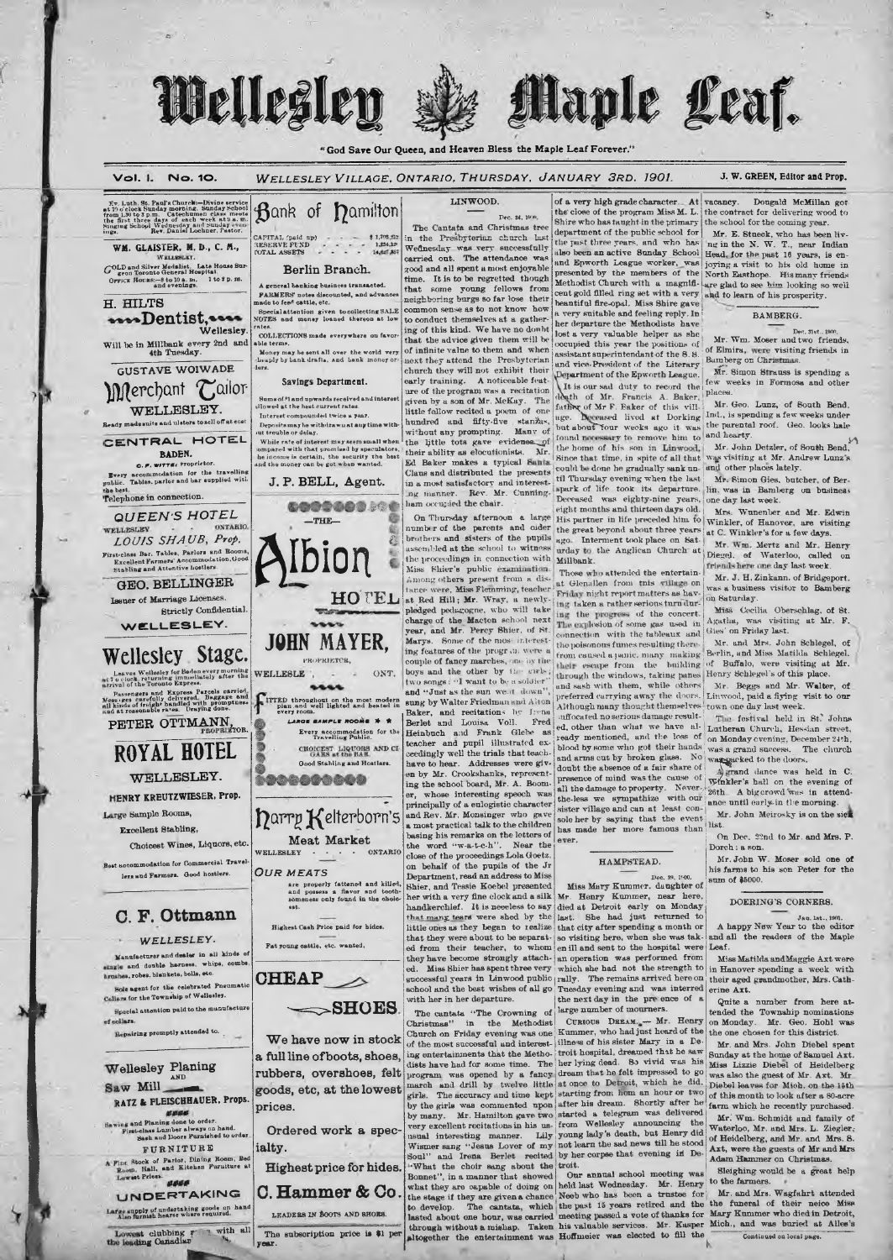## Wellesley Maple Leaf.

"God Save Our Queen, and Heaven Bless the Maple Leaf Forever."

J. W. GREEN, Editor and Prop. Vol 1 No. 10 WELLESLEY VILLAGE, ONTARIO, THURSDAY, JANUARY 3RD. 1901. LINWOOD. of a very high grade character. At vacancy.<br>the close of the program Miss M. L. the contra Dougald McMillan got  $Ev$ . Luth. St. Paul's Churck:--Divine service<br>at 19 o'clock Sunday morning. Sunday School<br>from 1.39 to 3 p.m. Catechumen class meets<br>the first three days of each week at 3 a.m.<br>Singing School Wednesday and Sunday returni Bank of Damilton the contract for delivering wood to Dec. 24, 1978 Shire who has taught in the primary<br>department of the public school for the school for the coming year The Cantata and Christmas tree Mr. E. Stueck, who has been liv-<br>ng in the N. W. T., near Indian CAPITAL (psid-up)<br>RESERVE FUND<br>NOTAL ASSETS in the Presbyterium church last<br>Wednesday was very successfully<br>carried out. The attendance was  $\begin{array}{r} 2 \ 1,705,33 \\ 1,234,12 \\ 14,827,35 \end{array}$ department of the public school for  $\mathbf{M}$ r. E. Stueek, who has been invested the part there years, and who has 'ng in the N. W. T., near Indian and Epworth League worker, was joying a visit to his old home in presented WM. GLAISTER. M. D., C. M., and Epworth League worker, was<br>presented by the members of the<br>Methodist Church with a magnifi-GOLD and Silver Medalist. Late House Sugood and all spent a most enjoyable<br>time. It is to be regretted though Berlin Branch. gron serone veneral ricupical.<br>Orrick Hotlas:-8 to 10 a.m. 1 to 2 p.m.<br>and evenings. A general bauking business transacted.<br>PARMERS' notes discounted, and advar<br>asde to feed cattle, etc. ure glad to see him looking so well that some young fellows from cent gold filled ring set with a very<br>beautiful fire-opal. Miss Shire gave and to learn of his prosperity. H. HILTS common sense as to not know how Special attention given to collecting SALE<br>fOTES and money loaned thereon at low a very suitable and feeling reply. In<br>her departure the Methodists have wellesley. BAMBERG. to conduct themselves at a gather ing of this kind. We have no donht COLLECTIONS made everywhere on favor<br>able terms. lost a very valuable helper as she that the advice given them will be<br>of infinite value to them and when Mr. Wm. Moser and two friends,<br>of Elmira, were visiting friends in occupied this year the positions of assistant superintendant of the 8.8. Will be in Millbank every 2nd and 4th Tuesday. Money may be sent all over the world very<br>cheaply by bank drafts, and bank money or<br>ders. next they attend the Presbyterian<br>church they will not exhibit their Bamberg on Christma and vice-President of the Literary **GUSTAVE WOIWADE** Mr. Simon Strauss is spending a Department of the Epworth League. Savings Department. early training. A noticeable featfew weeks in Formosa and other Merchant Cailor early training. A noticeable reature of the program was a recitation<br>given by a son of Mr. McKay. The It is our sad duty to record the It is our sad duty to record the<br>dath of Mr. Francis A. Baker, father, father of Mr F. Baker of this villing<br>uge. Deceased lived at Dorking<br>but about four weeks ago it was places. Sums of \$1 and upwards received and inte<br>llowed at the heat current rates. Mr. Geo. Lunz, of South Bend. WELLESLEY. little fallow recited a poem of one<br>hundred and fifty-five standas,<br>without any prompting. Many of Now on as the new current rates.<br>Interest compounded twice a year.<br>Deposits may be withdrawn at any time<br>ut trouble or delay. Ind., is spending a few weeks under the parental roof. Geo. looks hale ady made spite and ulsters to sell off at eos numere and may prompting. Many of the little tots gave evidence of their ability as electricial. Mr. and Eq. 3. The state of their ability and the continuity. Many of  $\Xi$ found necessary to remove him to and hearty. CENTRAL HOTEL it trouvie or with .<br>While rate of interest may seem small when<br>smoared with that promised by speculators, Mr. John Detzler, of South Bend, the home of his son in Linwood. **BADEN.** ompared with that promised by speculators,<br>he income is certain, the security the best<br>ind the money can be got when wanted. Since that time, in spite of all that<br>could be done he gradually sank unwas visiting at Mr. Andrew Lunz's O.F. WITTE: Proprietor. Every accommodation for the travelling<br>mblic. Tables, parlor and har supplied with til Thursday evening when the last Mr. Simon Gies, butcher, of Ber-<br>spark of life took its departure. lin, was in Bamberg on basines. J. P. BELL, Agent. in a most satisfactory and interest-<br>ng manner. Rev. Mr. Cunningthe best.<br>Telephone in connection. Deceased was eighty-nine years, eight months and thirteen days old. one day last week. 134000000 ham occupied the chair. Mrs. Wunenber and Mr. Edwin QUEEN'S HOTEL On Thursday afternoon a large His partner in life preceded him to<br>the great beyond about three years -THE-Winkler, of Hanover, are visiting number of the parents and older<br>brothers and sisters of the pupils at C. Winkler's for a few days LOUIS SHAUB, Prop. ago. Interment took place on Sat-Mr. Wm. Mertz and Mr. Henry urday to the Anglican Church at rst-class Bar. Tables, Parlors and Boom<br>Excellent Parmers' Accommodation.Goom<br>Stabling and Attentive hostlers. ussembled at the school to witness **ION** of Waterloo, called on Diegel. the proceedings in connection with Millbank. friends here one day last week. Miss Shier's public examination. Those who attended the entertain-Mr. J. H. Zinkann, of Bridgeport Among others present from a distance were, Miss Flemming, teacher at Glenallen from this village on<br>Friday night reportmatters as hav-GEO. BELLINGER was a business visitor to Bamberg **HOTEL** ince were, mass remining teacher that Red Hill; Mr. Wray, a newly-<br>pledged pedagogne, who will take charge of the Marcon school next<br>year, and Mr. Percy Shier, of St.<br>Marys. Some of the most interest-Issuer of Marriage Licenses. on Saturday. ing taken a rather serious turn during the progress of the concert. Strictly Confidential Miss Cecilia Oberschlag, of St Agatha, was visiting at Mr. F. WELLESLEY. The explosion of some gas used in Gies' on Friday last. connection with the tableaux and **JOHN MAYER,** Mr. and Mrs. John Schlegel, of Berlin, and Miss Matilda Schlegel, the poisonous fumes resulting therethe poisonous rumes resurring that<br>from caused a panic, many making<br>that escane from the building ing features of the program were a Wellesley Stage. **РВОРКІЕТСЕ,** couple of fancy marches, me by the of Buffalo, were visiting at Mr.<br>Henry Schlegel's of this place. boys and the other by the cirls two songs : "I want to be a soldier" Leaves Wellesley for Baden every morning<br>a clock, returning immediately after the<br>uol of the Toronto Express. WELLESLE through the windows, taking panes<br>and sash with them, while others Mr. Beggs and Mr. Walter, of al of the Toronto Express.<br>
assengers and Express Parcels carried<br>
1ges carefully delivered. Baggage and<br>
nds of freight bandled with promptues.<br>
The Theory Drawing done. and "Just as the sun went down" preferred carrying away the doors. Linwood, paid a fiying visit to our Although many thought themselves town one day last week. FITTED throughout on the most modern<br>plan and well lighted and heated in<br>every room. sung by Walter Friedman and Alton Baker, and recitations by Irena<br>Berlet and Louisa Voll. Fred inflocated no serious damage result-The festival held in St. Johns PETER OTTMANN, LARGE BAMPLE ROOMS # \* Fred ed, other than what we have already mentioned, and the loss of Lutheran Church, Hessian street, Every accommodation for the<br>Travelling Public. Heinbuch and Frank Glebe  $8<sub>8</sub>$ on Monday evening, December 24th<br>was a grand success. The church teacher and pupil illustrated ex-<br>ceedingly well the trials that teachblood by some who got their hands and arms cut by broken glass. No ROYAL HOTEL CHOICEST LIQUORS AND CI The church No was packed to the doors Good Stabling and Hostlers. have to hear. Addresses were givdoubt the absence of a fair share of<br>presence of mind was the cause of en by Mr. Crookshanks, represent Agrand dance was held in C WELLESLEY. 1000000000 Winkler's hall on the evening of ing the school board, Mr. A. Boomall the damage to property. Never-<br>the-less we sympathize with our **HENRY KREUTZWIESER, Prop.** er, whose interesting speech was 26th. A big crowd was in attendsympathize the-less we ance until early in the morning. principally of a eulogistic character sister village and can at least con-Large Sample Rooms, and Rev. Mr. Monsinger who gave narry Kelterborn's Mr. John Meirosky is on the sien saying that the event sole her by list. Excellent Stabling, has made her more famous than a most practice tasta to the entire<br>basis p is remarks on the letters of<br>the word "w-a-t-c-h". Near the<br>close of the proceedings Lola Goetz.<br>on behalf of the pupils of the Jr On Dec. 22nd to Mr. and Mrs. P Meat Market ever. Choicest Wines, Liquors, etc. Dorch : a son. WELLESLEY ONTARIO Mr. John W. Moser sold one of socommodation for Commercial Travel HAMPSTEAD. his farms to his son Peter for the lers and Farmers. Good hostlers. **OUR MEATS** Department, read an address to Miss are properly fattened and killed, and possess a flavor and tooth-someness only found in the choic-<br>est. sum of \$5000. Shier, and Tessie Koebel presented<br>her with a very fine clock and a silk Miss Mary Kummer, daughter of Mr. Henry Kummer, near here, DOERING'S CORNERS. handkerchief. It is neecless to say died at Detroit early on Monday C. F. Ottmann that many tears were shed by the Jan. 1st., 1901.<br>A happy New Year to the editor little ones as they began to realize<br>that they were about to be separatthat city after spending a month or<br>so visiting here, when she was tak-Highest Cash Price paid for hides. and all the readers of the Maple WFLLESLEY. Fat young cattle, etc. wanted, en ill and sent to the hospital were ed from their teacher, to whom Leaf. Manufacturer and dealer in all kinds of they have become strongly attachan operation was performed from Miss Matilda and Maggie Axt were male and double harness, whipe, comb Miss Shier has spent three very which she had not the strength to in Hanover spending a week with<br>their aged grandmother, Mrs. Cathed. es, robes, blankets, bells, etc. successful years in Linwood public rally. The remains arrived here on school and the best wishes of all go Tuesday evening and was interred CHEAP  $\mathcal{D}$ Sole agent for the celebrated Pneumatic<br>Collars for the Township of Wellesley. erine Axt. with her in her departure. the next day in the pre ence of a Quite a number from here at- $\longrightarrow$ SHOES Special attention paid to the manufacture large number of mourners. tended the Township nominations<br>on Monday. Mr. Geo. Hohl was<br>the one chosen for this district. The cantata "The Crowning of sollars CURIOUS DREAM. - Mr. Henry<br>Kummer, who had just heard of the Christmas" in the Methodist Repairing promptly attended to. Church on Friday evening was one illness of his sister Mary in a De-<br>troit hospital, dreamed that he saw We have now in stock Mr. and Mrs. John Diebel spent of the most successful and interesting entertainments that the Metho-<br>dists have had for some time. The Sunday at the home of Samuel Axt.<br>Miss Lizzie Diebel of Heidelberg **a full line of boots, shoes,** ing entertainments that the Metho- itroit hospital, dreamed that he aw<br> **rubbers, overshoes, felt** dists have had for some time. The her lying dead. So vivid was his<br> **rubbers, overshoes, fe** a full line of boots, shoes. **Wellesley Planing** was also the guest of Mr. Axt. Mr.<br>Diebel leaves for Mich. on the 15th AND Saw Mill of this month to look after a 80-acre<br>farm which he recently purchased. RATZ & FLEISCHHAUER, Props. Sawing and Planing done to order.<br>First-class Lumber always on hand.<br>Sash and Boors Furnished to o Mr. Wm. Schmidt and family of Waterloo, Mr. and Mrs. L. Ziegler. Lily young lady's death, but Henry did<br>f my not learn the sad news till he stood of Heidelberg, and Mr. and Mrs. S.<br>Axt, were the guests of Mr and Mrs. usual interesting manner. Wismer sang "Jesus Lover of my not learn the sad news till he stood<br>Soul" and Irena Berlet recited by her corpse that evening in De-FURNITURE ialty. A Fine Rook of Parlor, Dining Room, Bed<br>Room, Hall, and Kitchen Furniture at<br>Lowset Prices. Adam Hammer on Christmas What the choir sang about the troit.<br>Bonnet", in a manner that showed Our Highest price for hides. Sleighing would be a great help Our annual school meeting was what they are capable of doing on held last Wednesday. Mr. Henry to the farmers.<br>the stage if they are given a chance Neeb who has been a trustee for Mr. and Mrs.<br>to develop The traffice and the stage of the stage of the f **UNDERTAKING** 

Large supply of undertaking goods on hand<br>Also formed hearse where required. Lowest clubbing r 3 with all

**U. Hammer & Co.** What they are capable of doing on held last wednesday. Mr. Henry whe calculates.<br>
LEADERS IN BOOTS AND SHORE. The capable of the stage if they are given a chance. Next has been a tracted on the function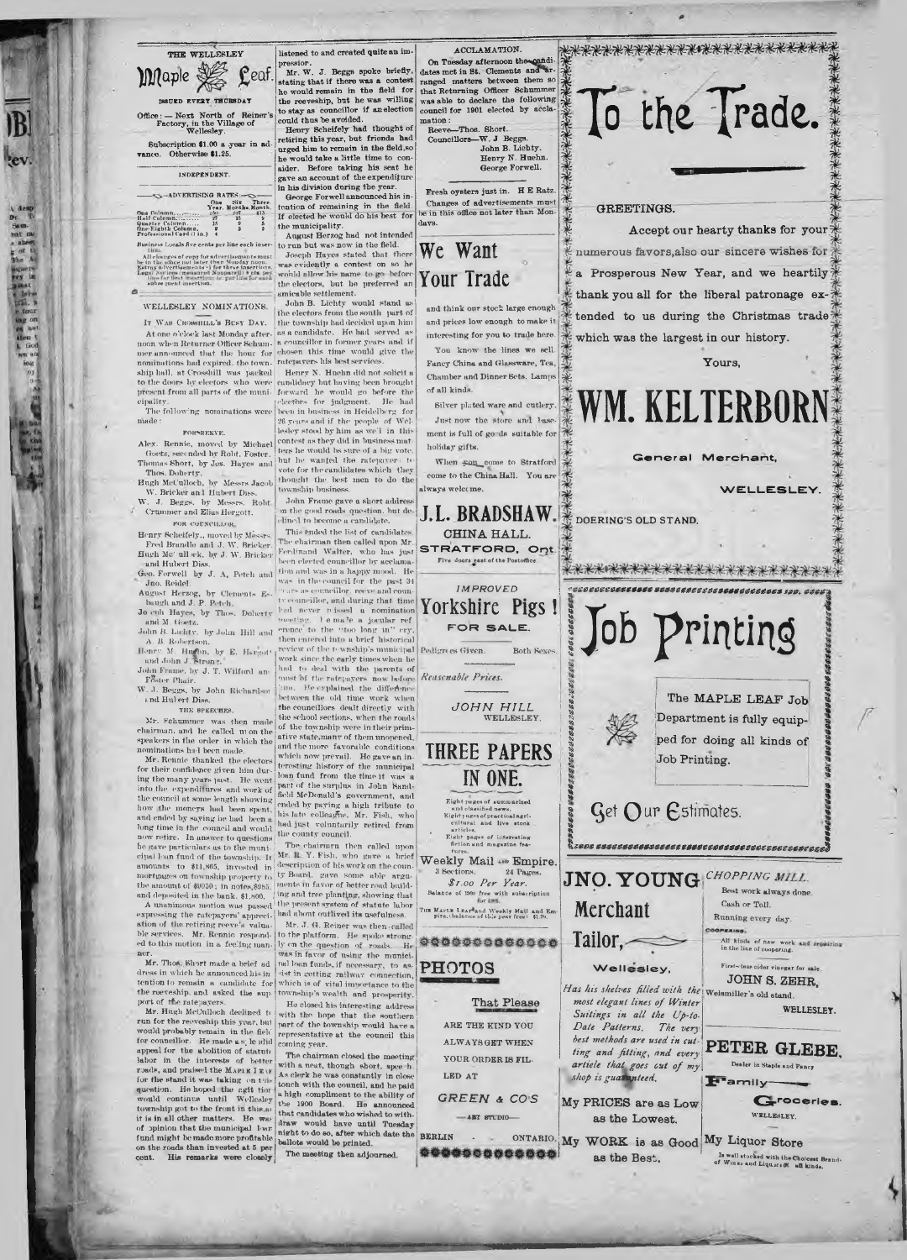| THE WELLESLEY                                                     |                        |                |                     |        |
|-------------------------------------------------------------------|------------------------|----------------|---------------------|--------|
| Maple                                                             |                        |                |                     | eaf.   |
| ISSUED EVERY TECRSDAY                                             |                        |                |                     |        |
| $Office:$ Next North of Reiner's<br>Factory, in the Village of    | Wellesley.             |                |                     |        |
|                                                                   |                        |                |                     |        |
| Subscription \$1.00 a year in ad-<br>vance. Otherwise \$1.25.     |                        |                |                     |        |
| INDEPENDENT.                                                      |                        |                |                     |        |
| ADVERTISING RATES:-                                               |                        |                |                     |        |
|                                                                   | Ohe                    | $\sin x$       |                     | Three. |
| One Column.                                                       | 2.501                  | N <sub>2</sub> | Year, Months Month. | \$15   |
| H will <b>Cotam</b>                                               | 27                     |                | 35                  | У      |
| Quarter Column<br>One-Eighth Column.<br>Professional (ard (1 in.) | 15<br>$\boldsymbol{9}$ |                | 9                   | 5      |

subsequent- or opposite the interaction.<br>All changes of copy for advertisements must be in the office nuclear Monday noon.<br>Extrap advertisements of for three insertions.<br>Legal (without the presented Sonpareti) is eta. per

## WELLESLEY NOMINATIONS.

IT WAS CROSSHILL'S BESY DAY noon when Returner Officer Schum- 'a councillor in former years and if<br>mer announced that the hour for chosen this time would give the<br>nominations had expired, the town- ratepayers his best services. ship hall, at Crosshill was packed — Henry N. Huehn did not solicit a<br>to the doors by electors who were ennuldaey but having been brought<br>present from all parts of the muni- forward-he would go before the<br>cipality.

The following nominations were made:

FOR SEEKYE. Alex. Rennie, moved by Michael Goetz, seconded by Robt. Foster. Thomas Short, by Jos. Hayes and Tlios. Doherty.

Hugh McCulloch, by Messrs Jacob<br>| W. Brieker and Hubert Diss.<br>W. J. Beggs, by Messrs. Robt

Crammer and Elias Hergott. I in the good roads question, but de  $\frac{1}{\text{ell}}$  roads question, but de

Henry Scheifely., moved by Messrs. This ended the list of candidates Hugh Mc' ull «·k, by J. W. Brieker<br>— and Hubert Diss.

Geo. Forwell by J. A, Petch and Jno. Reidel.

August Herzog, by Clements Es-baugh and J. P. Petch. Jo oph Hayes, by Thos. Doherty und M. Goetz. John B. Lichty, by John Hill and

A. B. Roliertson. Henry M. Hirfhn, by E. Hergott and John J. Ktron r.

John Frame, by J. T. Wilford am Foster Phair. W. J. Beggs, by John Iliohurdsoi i.nd Hubert Diss.

#### THE SPEECHES.

Mr. Hclmmmer was then made chairman, and he called ni on the speakers in the order in which the nominations had been made.

Mr. Rennie tliunked the electors for their confidence given him during the many years past. He went into the expenditures and work of the council at some length showing how the moneys had been spent, and ended by saying.he hud been a long time in the council and would now retire. In answer to questions the county council.<br>
the cave particulars as to the muni. The chairman then called upon<br>
depart bun fund of the township. If  $\left|\mathbf{M}t\right|$ ,  $\mathbf{H}$ ,  $\mathbf{Y}$ , Fish, who gave a brief<br>
a

expressing the ratepayers' appreci-ation of the retiring reeve's valua-ble services. Mr. Rennie responded to this motion in a feeling man-

ner.<br>Mr. Thoa. Short made a brief ad dress in which he announced his in tention to remain a candidate for the reeveship, and asked the sup-port of tfie ratepayers.

Mr. Hugh McCulloch declined to run for the reeveship this year, but would probably remain in the field for councillor. He made a s; le idid<br>appeal for the abolition of statute<br>labor in the interests of better roads, and praised the MAPIEI EV for the stand if was taking on this quotion. He hoped the gett torround continue until Wellesley township got to the front in this.<br>as it is in all other matters. He was it is in all other on the roads than invested at 5 per cent. His remarks were closely

listened to and created quite an impressior. Mr. W. J. Beggs spoke briefly,

stating that if there was a contest he would remain in the field for the reeveship, but he was willing to stay as councillor if an election could thus be avoided. Henry Scheifely had thought of retiring this year, but friends had urged him to remain in the field,so

he would take a little time to con-aider. Before taking his seat he gave an account of the expenditure in his division during the year. George Forwell announced his in-tention of remaining in the field. If elected he would do his best for

the municipality. j August Herzog had not intended Business Locals fine the line All changes of cons for advertisements must | JOSCPD Hayes Stated that There<br>he in this olice not later than Monday noon. | was evidently a contest on so he<br>Eatray advertisements of for three insertions. | was evidently a would gline his name to get octors. the electors, but he preferred an

j amicable settlement. ! John B. Lichty would stand us the electors from the south part of it Was Crossmin.'s Besy Day. | the township had decided upon him<br>At one o'clock last Monday after-' as a candidate. | He had | served | as

lieen in business in Heidelberg for 26 years and if the people of Wel-lesley stood by him as wed in this contest as they did in business mat-<br>ters he would bs sure of a big vote,<br>but he wanted the ratepayer ( te vote for the candidates which they thought the best men to do the township business

John Frame gave a short addres

Fred Brandle and J. W. Brieker. The chairman then called upon Ar.<br>ugh McCull sck. by J. W. Brieker. Ferdinand Walter, who has just been elected councillor by acclamation and was in a happy mood. Hi' was in the council for the past 31 ••ears as councillor, reeve and coun-tv councillor, and during that time had never n issed a nomination ■meeting. F em ale a jocular ref erence to the " too long in" cry, erence to the "too long in" ery,<br>then entered into a brief historical review of the township's municipal work since the early times when he had to deal with the parents of<br>most of the ratepayers now before<br>tim. He explained the difference<br>between the old time work when<br>the councillors dealt directly with the school sections, when the roads of the township were in their prim-ative state.many of them unopened, and the more favorable conditions which now prevail. He gave an in-teresting history of the municipal loan fund from the time it was a part of the surplus in John Sand-field McDonald's government, and ended by paying a high tribute to his late colleague. Mr. Fish, who had just voluntarily retired from

and deposited in the bank,  $$1,800$ . J<sup>ing</sup> and tree planting, showing that A unanimous motion was passed the present system of statute labor [had about outlived its usefulness]

Mr. J. G. Reiner was then-called to the platform. He spoke strong-ly on the question of roads. He was in favor of using the municinal loan funds, if necessary, to assist in getting railway connection,<br>which is of vital importance to the township's wealth and prosperity. He closed his interesting address

with the hope that the southern part of the township would hare a representative at the council this coming year.

The chairman closed the meeting with a neat, though short, spee h . As clerk he was constantly in close touch with the council, and he paid a high compliment to the ability of the 1900 Board. He announced that candidates who wished to with-draw would have until Tuesday night to do so, after which date the ballots would be printed. The meeting then adjourned.

A CCLAMATION. On Tuesday afternoon the candi-<br>dates met in St. Clements and ar-

ranged matters between them so that Returning Officer Schummer was able to declare the following council for 1901 elected by acclamation : Reeve—Thos. Short.

Councillors—W. J Beggs. John B. Lichty. Henry N. Huehn. George Forwell.

Fresh oysters just in. H E Ratz. Changes of advertisements must<br>be in this office not later than Mon-

**We Want Your Trade**

days.

and think our stock large enough and prices low enough to make it interesting for you to trade here.

You know the lines we sell. Fancy China and Glassware, Tea, Chamber and Dinner Sets, Lamps ^ of all kinds.

Silver plated ware and cutlery. Just now the store and lasement is full of go 'ds suitable for holiday gifts.

When son come to Stratford come to the China Hall. You are always welcome.

**J. L. BRADSHAW.** CHINA HALL. STRATFORD, Orjt Five doors east of the Postoffice

*IM P R O V E D* j *^ 0 0 0 0 0 0 0 0 0 0 0 0 0 0 0 0 0 0 0 0 0 0 0 0 0 0 0 0 0 0 0 0 0 ^ 0 0 0 0 1 20 -. 0 0 0 0V\** **Yorkshire Pigs!** FOR SALE.

*Reasonable Prices.*

*J O H N H I L L*

**WELLESLEY** 

V\* 1 **\ 12.253 I I** |<br>|<br>|} ! I I

i<br>iii as as a

## **THREE PAPERS IN ONE.**

Eight pages of summarized<br>
' and classified news.<br>
Eight pages of practical agri-<br>
articles.<br>
Tight pages of interesting<br>
fiction and magazine fea-<br>
tures. Weekly Mail <\*\* Empire. 3 Sections. 24 Pag *\$r.oo Per Year.*

with subscription THE MAPLE LEAP and Weekly Mail and Em-<br>pire. (balance of this year free) \$1.70.



That Please ARE THE KIND YOU ALWAYS GET WHEN YOUR ORDER IS FIL-

LED AT GREEN & CO<sub>S</sub>

-ART STUDIO-





To the Trade.



**I i** <sup>t</sup>*00000000000000000000000000000000000000000000000^*

Get Our Estimates.

**Merchant**

**Tailor,**

Wellesley,

most elegant lines of Winter *Suitings in all the Up-to-Date Patterns. The very best methods are used in cutting and fitting, and every artiele that goes out of my* shop is guamanteed.

My PRICES are as Low as the Lowest.

as the Best.

 $JNO.$   $\bold{YOUNG}$   $^{CHOPPING}$ Best work always done. Cash or Toll. Running every day.

OPERING. All kinds of new work<br>in the line of coopering.

First-class cider vinegar for sale , JOHN S. ZEHR *Has his shelves filled with the* Weismiller's old stand.

WELLESLEY.

**PETER GLEBE.**

Dealer in Staple and Fancy  $\mathbf{F}$  amily

Groceries. WELLESLEY.

BERLIN . ONTARIO. My WORK is as Good My Liquor Store Is well stocked with the Choicest Brands.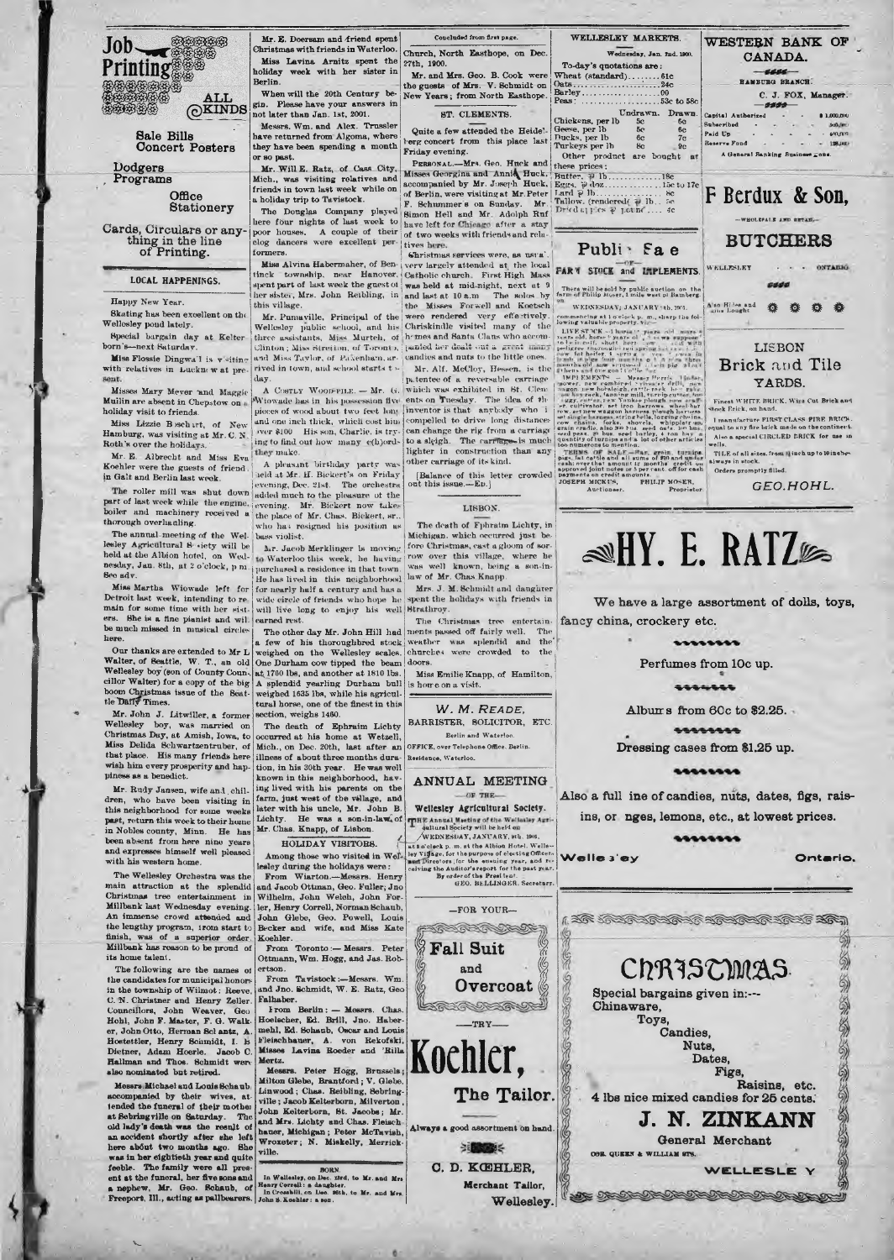

Sale Bills Concert Posters

Dodgers , Programs

> Office **Stationery**

Cards, Circulars or any-thing in the line of Printing.

### LOCAL HAPPENINGS.

Happy New Year.

8kating has been excellent on the Wellesley pond lately.

Special bargain day at Kelter born's—next Saturday. Miss Flossie Dingwa'l is v «itin ?

with relatives in Lucknew at pre-

Misses Mary Meyer "and Maggie Muilin are absent in Chepstow on holiday visit to friends.

Miss Lizzie B schurt, of New Hamburg, was visiting at Mr. C. N Roth's over the holidavs.

Mr. E. Albrecht and Miss Eva they make.<br>Koehler were the guests of friend A pleasa Mr. E. Albrecht and Miss Eva : A pleasant birthday party was conclude were the guests of friend : in Galt and Berlin last week.

in Gait and Berlin last week. The recent are not recently all exercise of last week.<br>The roller mill was shut down added much to the pleasure of the performance of the performance of the performance of the performance of

The annual meeting of the Wel- bass violist.<br>lesley Agricultural 8 -iety will be j<sub>ar.</sub> Jacob Merklinger is moving<br>held at the Albion hotel, on Wed- to Waterloo this week, he having nesday, Jan. 8th, at 2 o'clock, p m 8ee adv.

Miss Martha Wiowade left for Detroit last week, intending to re main for some time with her sist-She is a fine pianist and wil. be much missed in musical circles here.

Our thanks are extended to Mr L Walter, of Beattie, W. T., an old Wellesley boy (eon of County Conn-, cillor Walter) for a copy of the big boom Christmas issue of the Seat-<br>tle Dafly Times.

Mr. John J. Litwiller, a former Wellesley boy, was married on Christmas Day, at Amish, Iowa, to Miss Delida Bchwartzentruber, of that place. His many friends here wish him every prosperity and hap-piness as a benedict.

Mr. Rudy Jansen, wife and children, who have been visiting in this neighborhood for some weeks past, return this week to their home in Nobles county, Minn. He has been absent from here nine years and expresses himself well pleased with his western home.

The Wellesley Orchestra was the main attraction at the splendid Christmas tree entertainment in Millbank last Wednesday evening. An immense crowd attended and the lengthy program, irom start to<br>finish, was of a superior order.<br>Millbank has reason to be proud of its home talent.

The following are the names ol the candidates for municipal honors in the township of Wilmot: Reeve C. N. Christner and Henry Zeller.<br>Councillors. John Weaver. Geo. Councillors, John Weaver, Hohl, John F. Master, F. G. Walker, John Otto, Herman Sclantz, A. Hostettler, Henry Schmidt, I. b Dietner, Adam Hoerle. Jacob C. Hallman and Thos. Schmidt were slso nominated but retired.

Messrs,Michael and Louis 8chaub accompanied by their wives, at-tended the funeral of their mothei at Sebringville on Saturday. The cold hady's destin was the result of<br>an accident shortly after she left<br>an accident shortly after she left<br>here about two months ago. She<br>was in her eightich year and quite<br>feelds. The fami

\*4

Mr. E. Doersam and friend spent Christmas with friends in Waterloo. Miss Lavina Arnitz spent the holiday week with her sister in Berlin. When will the 20th Century be-

gin. Please have your answers in not later than Jan. 1st, 2001. Messrs. Wm. and Alex. Trussler have returned from Algoma, where they have been spending a month

or so post. Mr. Will E. Ratz, of Cass City, Mich., was visiting relatives and friends in town last week while on a holiday trip to Tavistock.

poor houses, A couple of their of two weeks with friends and relu-<br>clog dancers were excellent per- $\left|$  tives here.

more assessment of European State of the State of the County of the State of the County of the State of the State of the State of the State of the Mass of the State of the State of the specific charge of the specific char her sister, Mrs. John Reibling, in and last at 10 a.m this village. Mr. Pumaville, Principal of the

Wellesley public school, and his Chriskindle visited many of the<br>three assistants, Miss Murtch, of homes and Santa Claus who accom-Clinton ; Miss Btretton, of Toronto, justicd her dealt out a great imany and Miss Taylor, of Paxenham, arrived in town, and school starts today.

*Wiowade has in his possession five* pieces of wood about two feet long and one inch thick, which cost him<br>| wer \$100 His son, Charlie, is try-<br>| ing to find out how many c(h)ords

evening. Mr. Bickert now takes<br>the place of Mr. Chas. Bickert, sr.,<br>who has resigned his position as purchased a residence in that town. He has lived in this neighborhood for nearly half a century and has a wide circle of friends who hope he will live long to enjoy his well Strathroy. earned rest.

a few of his thoroughbred stock weighed on the Wellesley scales. One Durham cow tipped the beam at.1760 lbs, and another at 1810 lbs. A splendid yearling Durham bull as a splendid yearling Durham bull<br>weighed 1635 lbs, while his agricul-<br>taral horse, one of the finest in this tural horse, one of the finest in this section, weighs 1460.

The death of Ephraim Lichty<br>
occurred at his home at Wetzell,<br>
Mich., on Dec. 20th, last after an<br>
illness of about three months dura-<br>
tion, in his 30th year. He was well tion, in his 30th year. He was well known in this neighborhood, having lived with his parents on the farm, just west of the village, and later with his uncle, Mr. John B. Lichty. He was a son-in-law. of Mr. Chas. Knapp, of Lisbon.

HOLIDAY VISITORS. Among those who visited in Wel-

lesley during the holidays were : From Wiarton.—Messrs. Henry and Jacob Ottinan, Geo. Fuller; Jno Wilhelm, John Welch, John Forler, Henry Correll, Norman Schaub, John Glebe, Geo. Powell, Louis Becker and wife, and Miss Kate Koehler.<br>From Toronto: — Messrs. Peter

Ottmann, Wm. Hogg, and Jas. Robertson. From Tavistock:—Messrs. Wm. and Jno. Schmidt, W . E. Ratz, Geo

Falhaber.<br>From Berlin:-I rom Berlin : — Messrs. Chas. Hoelscher, Ed. Brill, Jno. Haber-mehl, Ed. Schaub, Oscar and Louis Fleischhauer, A. von Rekofski. Misses Lavina Roeder and 'Rilla Mertz.

Messrs. Peter Hogg, Brussels; Milton Glebe, Brantford; V. Glebe. Linw ood; Chas. Reibling, Sebring-ville ; Jacob Kelterborn, Milverton , John Kelterborn, St. Jacobs; Mr.<br>
and Mrs. Lichty and Chas. Fleisch-<br>
hauer, Michigan; Peter McTavish,<br>
Wroxeter; N. Miskelly, Merrick-<br>
ville.

**BORN. In Welleeley, on Dec. ttrd, to Mr. and Mre Henry Correll: a daughter. In Cromhlll, on Deo. \*6th, to Mr. and Mre. John ». Koehler: a eon.**

Concluded from first page. Church, North Easthope, on Dec. 27th, 1900.

Mr. and Mrs. Geo. B. Cook were the guests of Mrs. V. 8chmidt on New Years; from North Easthope.

ST. CLEMENTS.

Quite a few attended the Heidelberg concert from this place last Friday evening.

PERSONAL.—Mrs. Geo. Hnck and these prices: misses deorgina and Annie, Huck. Butter, P 15................15e to 17e<br>accompanied by Mr. Joseph Huck. [Egg. P dox................... l5e to 17e of Berlin, were visiting at Mr.Peter [ Lard P ] b........................... F. Schnmmer s on Sunday. Mr. j Tallow, (rendered/ lb .. 5c The Douglas Company played Simon Hell and Mr. Adolph Ruf  $L^{\text{pred}}$  if  $L^{\text{pred}}$  is performed there four nights of last week to bave left for Chicago after a stay

formers. (Shristmas services were, as nara'. Miss Alvina Habermaher, of Ben- verv largely attended at the local and last at 10 a,m. The solos by <sup>the m</sup> of Philip Mober, 1 mile west of Bamberg.<br>the Misses Forwell and Koetsch <sup>war</sup> were very energies were rendered very effectively. Mr. Alf. McCloy, Hessen, is the

A CostLy Woon-Ping. — Mr. G. which was exhibited in 8t. Clem-<br>fowade has in his possession five ents on Tuesday. The idea of the<br>eces of wood about two feet long inventor is that anybody who i ipi.tenteeof a reversable carriage compelled to drive long distances<br>can change the rig from a carriage to a sleigh. The carriages is much lighter in construction than any other carriage of its kind.

[Balance of this letter crowded out this issue.—Ed.]

#### LISBON.

The death of Fphraim Lichty, in Michigan, which occurred just before Christmas, cast a gloom of sor-<br>row over this village, where he was well known, being a son-in-law of Mr. Chas Knapp.

Mrs. J. M. Schmidt and danghter spent the holidays with friends in

The other day Mr. John Hill had The Christmas tree entertain-ments passed off fairly well. The weather was splendid and the churches were crowded to the doors.

> Miss Emilie Knapp, of Hamilton, is home on a visit.

> > W . *M. R eade ,*

BARRISTER, SOLICITOR, ETC. Berlin and Waterloo.

OFFICE, over Telephone Office, Berlin. Residence, Waterloo.

ANNUAL MEETING

THE Annual Meeting of the Wellasley Age Wellesley Agricultural Society.

WEDNESDAY, JANUARY, 9th, 1909 ( [at 2 o'clock p. m. at the Albion Hotel. Wells —<br>r. ley Village, for the purpose of electing Officer-**Highling the Auditor's specific the ensuing year, and re-**<br>ceiving the Auditor's report for the past year.<br>By order of the President.<br>GEO. BELLINGER. Secretary.

—FOR YOUR— **SERECTORIZE Fall Suit** and |

> ${\bf Overcast} \textcolor{red}{\otimes}$ LANDER

 $\text{TRY}$ 

**Koehler,**

The Tailor.

Always a good assortment on hand.

→通販業 O. D. KCEHLER, Merchant Tailor, To-day's quotations are: Wheat (standard).............. 61c Oats..............................: \_\_\_ 24c Barley................................... 00 Peas: ................................... 53c to 58c HAMBURG BRANCH. C. J. FOX, Manager. Undrawn. Drawn.<br>b 5c 6c<br>6c 6c 7c<br>6c 9c *— 0000*— Subscribed<br>Paid I.p Chickens, per lb 5c<br>Geese, per lb 5c 6c<br>Ducks, per lb 6c 7c<br>Turkeys per lb 8c 9c<br>Other product are bought A General Banking Businew\* = one. **F Berdux & Son,**  $-$ *WHOLESALE* Publi<sup>b</sup> Fa e **BUTCHERS** 8800 There will be sold by public auction on the farm of Philip Moser, 1 mile west of Bamberg. **A b** Bi?+a and 娄 娄 娄 lowing values between the state of the state of the state of the state of the state of the state of the state of the state of the state of the state of the state of the state of the state of the state of the state of the **LISBON Brick and** Tile YARDS.

Finest WHITE BRICK, Wire Cut Brick and Stock Brick, on hand. ", I manufacture FIRST CLASS PIRE BRICK.<br>", equal to any fire brick made on the continent.

Also a special CIRCLED BRICK for use in<br>wells.<br>TILE of all sizes, from it inch up to 10 inches-<br>always in stock.

## **^ H Y . E. RATZ®**

We have a large assortment of dolls, toys,

 $.........$ 

Perfumes from 10c up.

**SAAMAAA** 

Albums from 60c to \$2.25.

Also a full ine of candies, nuts, dates, figs, raisins, or nges, lemons, etc., at lowest prices.

 $.........$ 

Welles'ey **Ontario.** 

I TO JOTO CARAGARARAR TOTO TRA



*<u>ARABARA</u>* 

Dressing cases from \$1.25 up.  $111111111$ 

fancy china, crockery etc.

Figure 1, the Norther Douglas Point Care (1997)<br>Free Care (1997)<br>Constant Point Care (1997)<br>Constant Department Care (1998)<br>Constant Care (1998)<br>Constant Care (1998)<br>Constant Care (1998)<br>Constant Care (1998)<br>Constant Care pigs. Sat cattle and all sums of ginand under<br>each over that amount iz months' credit on<br>approved joint notes or 5 per cent. off for cash<br>payments on credit amounts.<br>JOSEPH MICKUS, PHILIP MOSER,<br>Auctionser. Proprietor Orders promptly filled. *CEO.HOHL.*

Wednesday, Jan. 2nd. 1900.<br>To-day's quotations are: CANADA.

WELLESLEY MARKETS.

' sepposed<br>goal Co?!ie

Capital Authorized - - \$ 1.000.000 Paid U p .......................................*VXijmv* Reserve Fund -

WESTERN BANK OF